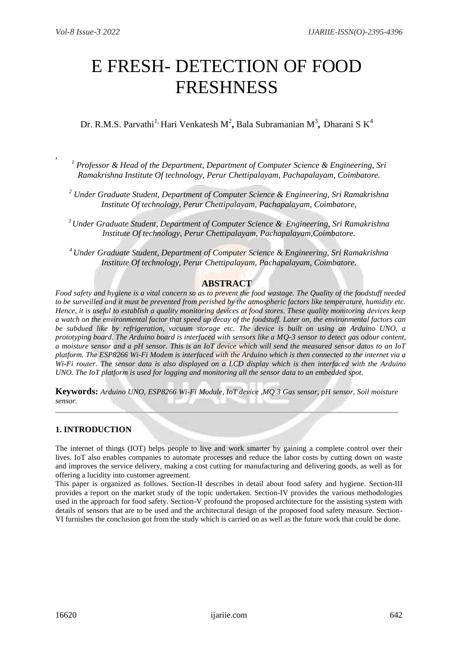*,* 

# E FRESH- DETECTION OF FOOD FRESHNESS

Dr. R.M.S. Parvathi<sup>1,</sup> Hari Venkatesh M<sup>2</sup>, Bala Subramanian M<sup>3</sup>, Dharani S K<sup>4</sup>

*<sup>1</sup> Professor & Head of the Department, Department of Computer Science & Engineering, Sri Ramakrishna Institute Of technology, Perur Chettipalayam, Pachapalayam, Coimbatore.*

*<sup>2</sup> Under Graduate Student, Department of Computer Science & Engineering, Sri Ramakrishna Institute Of technology, Perur Chettipalayam, Pachapalayam, Coimbatore,*

*<sup>3</sup>Under Graduate Student, Department of Computer Science & Engineering, Sri Ramakrishna Institute Of technology, Perur Chettipalayam, Pachapalayam,Coimbatore.*

*<sup>4</sup> Under Graduate Student, Department of Computer Science & Engineering, Sri Ramakrishna Institute Of technology, Perur Chettipalayam, Pachapalayam, Coimbatore.*

# **ABSTRACT**

*Food safety and hygiene is a vital concern so as to prevent the food wastage. The Quality of the foodstuff needed to be surveilled and it must be prevented from perished by the atmospheric factors like temperature, humidity etc. Hence, it is useful to establish a quality monitoring devices at food stores. These quality monitoring devices keep a watch on the environmental factor that speed up decay of the foodstuff. Later on, the environmental factors can be subdued like by refrigeration, vacuum storage etc. The device is built on using an Arduino UNO, a prototyping board. The Arduino board is interfaced with sensors like a MQ-3 sensor to detect gas odour content, a moisture sensor and a pH sensor. This is an IoT device which will send the measured sensor datas to an IoT platform. The ESP8266 Wi-Fi Modem is interfaced with the Arduino which is then connected to the internet via a Wi-Fi router. The sensor data is also displayed on a LCD display which is then interfaced with the Arduino UNO. The IoT platform is used for logging and monitoring all the sensor data to an embedded spot.*

**Keywords:** *Arduino UNO, ESP8266 Wi-Fi Module, IoT device ,MQ 3 Gas sensor, pH sensor, Soil moisture sensor.*

## **1. INTRODUCTION**

The internet of things (IOT) helps people to live and work smarter by gaining a complete control over their lives. IoT also enables companies to automate processes and reduce the labor costs by cutting down on waste and improves the service delivery, making a cost cutting for manufacturing and delivering goods, as well as for offering a lucidity into customer agreement.

This paper is organized as follows. Section-II describes in detail about food safety and hygiene. Section-III provides a report on the market study of the topic undertaken. Section-IV provides the various methodologies used in the approach for food safety. Section-V profound the proposed architecture for the assisting system with details of sensors that are to be used and the architectural design of the proposed food safety measure. Section-VI furnishes the conclusion got from the study which is carried on as well as the future work that could be done.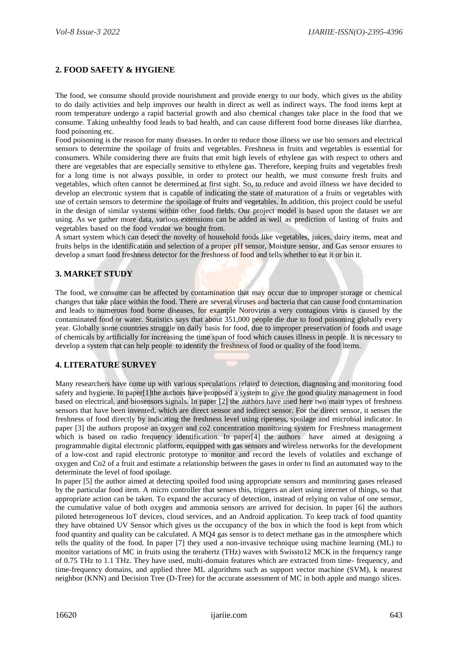## **2. FOOD SAFETY & HYGIENE**

The food, we consume should provide nourishment and provide energy to our body, which gives us the ability to do daily activities and help improves our health in direct as well as indirect ways. The food items kept at room temperature undergo a rapid bacterial growth and also chemical changes take place in the food that we consume. Taking unhealthy food leads to bad health, and can cause different food borne diseases like diarrhea, food poisoning etc.

Food poisoning is the reason for many diseases. In order to reduce those illness we use bio sensors and electrical sensors to determine the spoilage of fruits and vegetables. Freshness in fruits and vegetables is essential for consumers. While considering there are fruits that emit high levels of ethylene gas with respect to others and there are vegetables that are especially sensitive to ethylene gas. Therefore, keeping fruits and vegetables fresh for a long time is not always possible, in order to protect our health, we must consume fresh fruits and vegetables, which often cannot be determined at first sight. So, to reduce and avoid illness we have decided to develop an electronic system that is capable of indicating the state of maturation of a fruits or vegetables with use of certain sensors to determine the spoilage of fruits and vegetables. In addition, this project could be useful in the design of similar systems within other food fields. Our project model is based upon the dataset we are using. As we gather more data, various extensions can be added as well as prediction of lasting of fruits and vegetables based on the food vendor we bought from.

A smart system which can detect the novelty of household foods like vegetables, juices, dairy items, meat and fruits helps in the identification and selection of a proper pH sensor, Moisture sensor, and Gas sensor ensures to develop a smart food freshness detector for the freshness of food and tells whether to eat it or bin it.

## **3. MARKET STUDY**

The food, we consume can be affected by contamination that may occur due to improper storage or chemical changes that take place within the food. There are several viruses and bacteria that can cause food contamination and leads to numerous food borne diseases, for example Norovirus a very contagious virus is caused by the contaminated food or water. Statistics says that about 351,000 people die due to food poisoning globally every year. Globally some countries struggle on daily basis for food, due to improper preservation of foods and usage of chemicals by artificially for increasing the time span of food which causes illness in people. It is necessary to develop a system that can help people to identify the freshness of food or quality of the food items.

#### **4. LITERATURE SURVEY**

Many researchers have come up with various speculations related to detection, diagnosing and monitoring food safety and hygiene. In paper[1]the authors have proposed a system to give the good quality management in food based on electrical, and biosensors signals. In paper [2] the authors have used here two main types of freshness sensors that have been invented, which are direct sensor and indirect sensor. For the direct sensor, it senses the freshness of food directly by indicating the freshness level using ripeness, spoilage and microbial indicator. In paper [3] the authors propose an oxygen and co2 concentration monitoring system for Freshness management which is based on radio frequency identification. In paper[4] the authors have aimed at designing a programmable digital electronic platform, equipped with gas sensors and wireless networks for the development of a low-cost and rapid electronic prototype to monitor and record the levels of volatiles and exchange of oxygen and Co2 of a fruit and estimate a relationship between the gases in order to find an automated way to the determinate the level of food spoilage.

In paper [5] the author aimed at detecting spoiled food using appropriate sensors and monitoring gases released by the particular food item. A micro controller that senses this, triggers an alert using internet of things, so that appropriate action can be taken. To expand the accuracy of detection, instead of relying on value of one sensor, the cumulative value of both oxygen and ammonia sensors are arrived for decision. In paper [6] the authors piloted heterogeneous IoT devices, cloud services, and an Android application. To keep track of food quantity they have obtained UV Sensor which gives us the occupancy of the box in which the food is kept from which food quantity and quality can be calculated. A MQ4 gas sensor is to detect methane gas in the atmosphere which tells the quality of the food. In paper [7] they used a non-invasive technique using machine learning (ML) to monitor variations of MC in fruits using the terahertz (THz) waves with Swissto12 MCK in the frequency range of 0.75 THz to 1.1 THz. They have used, multi-domain features which are extracted from time- frequency, and time-frequency domains, and applied three ML algorithms such as support vector machine (SVM), k nearest neighbor (KNN) and Decision Tree (D-Tree) for the accurate assessment of MC in both apple and mango slices.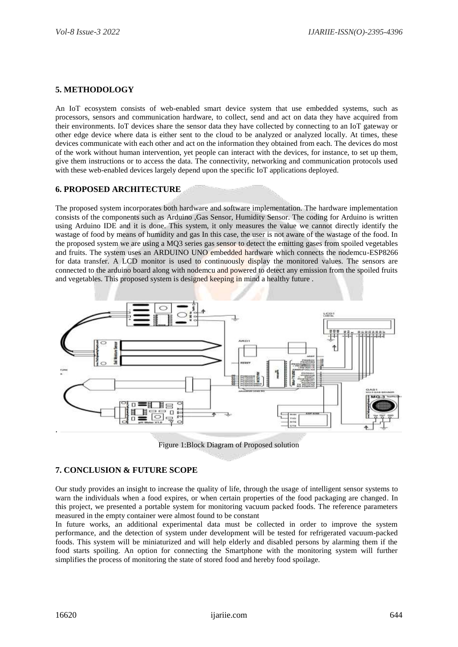#### **5. METHODOLOGY**

An IoT ecosystem consists of web-enabled smart device system that use embedded systems, such as processors, sensors and communication hardware, to collect, send and act on data they have acquired from their environments. IoT devices share the sensor data they have collected by connecting to an IoT gateway or other edge device where data is either sent to the cloud to be analyzed or analyzed locally. At times, these devices communicate with each other and act on the information they obtained from each. The devices do most of the work without human intervention, yet people can interact with the devices, for instance, to set up them, give them instructions or to access the data. The connectivity, networking and communication protocols used with these web-enabled devices largely depend upon the specific IoT applications deployed.

#### **6. PROPOSED ARCHITECTURE**

The proposed system incorporates both hardware and software implementation. The hardware implementation consists of the components such as Arduino ,Gas Sensor, Humidity Sensor. The coding for Arduino is written using Arduino IDE and it is done. This system, it only measures the value we cannot directly identify the wastage of food by means of humidity and gas In this case, the user is not aware of the wastage of the food. In the proposed system we are using a MQ3 series gas sensor to detect the emitting gases from spoiled vegetables and fruits. The system uses an ARDUINO UNO embedded hardware which connects the nodemcu-ESP8266 for data transfer. A LCD monitor is used to continuously display the monitored values. The sensors are connected to the arduino board along with nodemcu and powered to detect any emission from the spoiled fruits and vegetables. This proposed system is designed keeping in mind a healthy future .



Figure 1:Block Diagram of Proposed solution

## **7. CONCLUSION & FUTURE SCOPE**

Our study provides an insight to increase the quality of life, through the usage of intelligent sensor systems to warn the individuals when a food expires, or when certain properties of the food packaging are changed. In this project, we presented a portable system for monitoring vacuum packed foods. The reference parameters measured in the empty container were almost found to be constant

In future works, an additional experimental data must be collected in order to improve the system performance, and the detection of system under development will be tested for refrigerated vacuum-packed foods. This system will be miniaturized and will help elderly and disabled persons by alarming them if the food starts spoiling. An option for connecting the Smartphone with the monitoring system will further simplifies the process of monitoring the state of stored food and hereby food spoilage.